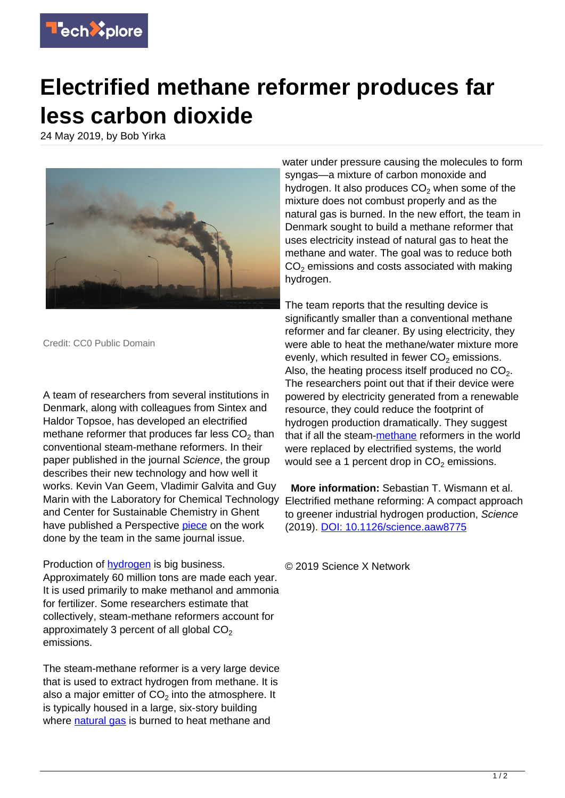

## **Electrified methane reformer produces far less carbon dioxide**

24 May 2019, by Bob Yirka



Credit: CC0 Public Domain

A team of researchers from several institutions in Denmark, along with colleagues from Sintex and Haldor Topsoe, has developed an electrified methane reformer that produces far less CO<sub>2</sub> than conventional steam-methane reformers. In their paper published in the journal Science, the group describes their new technology and how well it works. Kevin Van Geem, Vladimir Galvita and Guy Marin with the Laboratory for Chemical Technology and Center for Sustainable Chemistry in Ghent have published a Perspective [piece](https://science.sciencemag.org/cgi/doi/10.1126/science.aax5179) on the work done by the team in the same journal issue.

Production of **hydrogen** is big business. Approximately 60 million tons are made each year. It is used primarily to make methanol and ammonia for fertilizer. Some researchers estimate that collectively, steam-methane reformers account for approximately 3 percent of all global  $CO<sub>2</sub>$ emissions.

The steam-methane reformer is a very large device that is used to extract hydrogen from methane. It is also a major emitter of CO $_2$  into the atmosphere. It is typically housed in a large, six-story building where [natural gas](https://techxplore.com/tags/natural+gas/) is burned to heat methane and

water under pressure causing the molecules to form syngas—a mixture of carbon monoxide and hydrogen. It also produces  $\mathsf{CO}_2$  when some of the mixture does not combust properly and as the natural gas is burned. In the new effort, the team in Denmark sought to build a methane reformer that uses electricity instead of natural gas to heat the methane and water. The goal was to reduce both  $CO<sub>2</sub>$  emissions and costs associated with making hydrogen.

The team reports that the resulting device is significantly smaller than a conventional methane reformer and far cleaner. By using electricity, they were able to heat the methane/water mixture more evenly, which resulted in fewer  $CO<sub>2</sub>$  emissions. Also, the heating process itself produced no  $CO<sub>2</sub>$ . The researchers point out that if their device were powered by electricity generated from a renewable resource, they could reduce the footprint of hydrogen production dramatically. They suggest that if all the steam[-methane](https://techxplore.com/tags/methane/) reformers in the world were replaced by electrified systems, the world would see a 1 percent drop in  $CO<sub>2</sub>$  emissions.

 **More information:** Sebastian T. Wismann et al. Electrified methane reforming: A compact approach to greener industrial hydrogen production, Science (2019). [DOI: 10.1126/science.aaw8775](http://dx.doi.org/10.1126/science.aaw8775)

© 2019 Science X Network